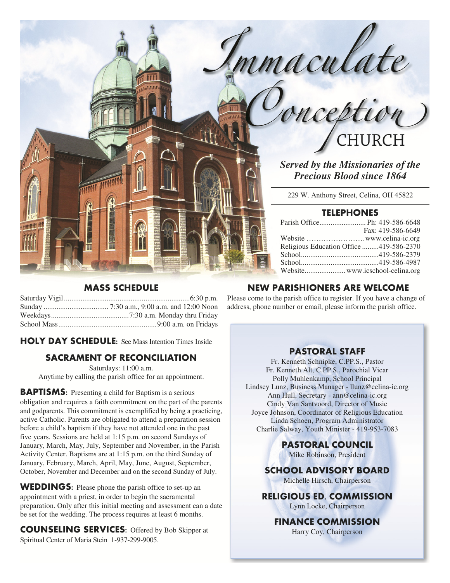mmaculate<br>Conception CHURCH

*Served by the Missionaries of the Precious Blood since 1864* 

229 W. Anthony Street, Celina, OH 45822

# **TELEPHONES**

|                                         | Fax: 419-586-6649 |
|-----------------------------------------|-------------------|
|                                         |                   |
| Religious Education Office 419-586-2370 |                   |
|                                         |                   |
|                                         |                   |
|                                         |                   |

# **MASS SCHEDULE**

Saturday Vigil .................................................................... 6:30 p.m. Sunday ................................... 7:30 a.m., 9:00 a.m. and 12:00 Noon Weekdays .......................................... 7:30 a.m. Monday thru Friday School Mass ..................................................... 9:00 a.m. on Fridays

**HOLY DAY SCHEDULE:** See Mass Intention Times Inside

# **SACRAMENT OF RECONCILIATION**

Saturdays: 11:00 a.m. Anytime by calling the parish office for an appointment.

**BAPTISMS:** Presenting a child for Baptism is a serious obligation and requires a faith commitment on the part of the parents and godparents. This commitment is exemplified by being a practicing, active Catholic. Parents are obligated to attend a preparation session before a child's baptism if they have not attended one in the past five years. Sessions are held at 1:15 p.m. on second Sundays of January, March, May, July, September and November, in the Parish Activity Center. Baptisms are at 1:15 p.m. on the third Sunday of January, February, March, April, May, June, August, September, October, November and December and on the second Sunday of July.

**WEDDINGS:** Please phone the parish office to set-up an appointment with a priest, in order to begin the sacramental preparation. Only after this initial meeting and assessment can a date be set for the wedding. The process requires at least 6 months.

**COUNSELING SERVICES:** Offered by Bob Skipper at Spiritual Center of Maria Stein 1-937-299-9005.

# **NEW PARISHIONERS ARE WELCOME**

Please come to the parish office to register. If you have a change of address, phone number or email, please inform the parish office.

# **PASTORAL STAFF**

Fr. Kenneth Schnipke, C.PP.S., Pastor Fr. Kenneth Alt, C.PP.S., Parochial Vicar Polly Muhlenkamp, School Principal Lindsey Lunz, Business Manager - llunz@celina-ic.org Ann Hull, Secretary - ann@celina-ic.org Cindy Van Santvoord, Director of Music Joyce Johnson, Coordinator of Religious Education Linda Schoen, Program Administrator Charlie Salway, Youth Minister - 419-953-7083

> **PASTORAL COUNCIL**  Mike Robinson, President

**SCHOOL ADVISORY BOARD**  Michelle Hirsch, Chairperson

**RELIGIOUS ED. COMMISSION**  Lynn Locke, Chairperson

**FINANCE COMMISSION**  Harry Coy, Chairperson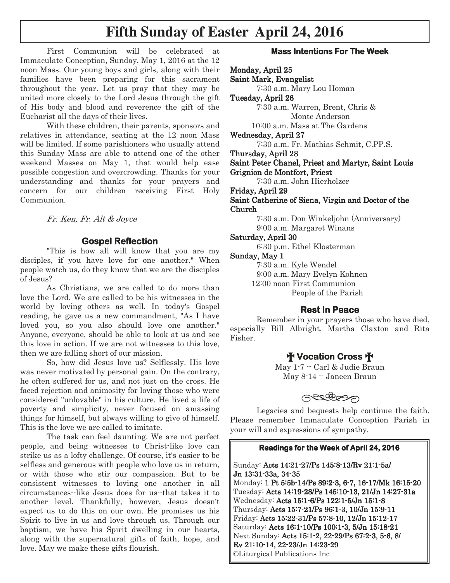# **Fifth Sunday of Easter April 24, 2016**

First Communion will be celebrated at Immaculate Conception, Sunday, May 1, 2016 at the 12 noon Mass. Our young boys and girls, along with their families have been preparing for this sacrament throughout the year. Let us pray that they may be united more closely to the Lord Jesus through the gift of His body and blood and reverence the gift of the Eucharist all the days of their lives.

 With these children, their parents, sponsors and relatives in attendance, seating at the 12 noon Mass will be limited. If some parishioners who usually attend this Sunday Mass are able to attend one of the other weekend Masses on May 1, that would help ease possible congestion and overcrowding. Thanks for your understanding and thanks for your prayers and concern for our children receiving First Holy Communion.

Fr. Ken, Fr. Alt & Joyce

#### **Gospel Reflection Gospel Reflection**

 "This is how all will know that you are my disciples, if you have love for one another." When people watch us, do they know that we are the disciples of Jesus?

 As Christians, we are called to do more than love the Lord. We are called to be his witnesses in the world by loving others as well. In today's Gospel reading, he gave us a new commandment, "As I have loved you, so you also should love one another." Anyone, everyone, should be able to look at us and see this love in action. If we are not witnesses to this love, then we are falling short of our mission.

 So, how did Jesus love us? Selflessly. His love was never motivated by personal gain. On the contrary, he often suffered for us, and not just on the cross. He faced rejection and animosity for loving those who were considered "unlovable" in his culture. He lived a life of poverty and simplicity, never focused on amassing things for himself, but always willing to give of himself. This is the love we are called to imitate.

 The task can feel daunting. We are not perfect people, and being witnesses to Christ-like love can strike us as a lofty challenge. Of course, it's easier to be selfless and generous with people who love us in return, or with those who stir our compassion. But to be consistent witnesses to loving one another in all circumstances--like Jesus does for us--that takes it to another level. Thankfully, however, Jesus doesn't expect us to do this on our own. He promises us his Spirit to live in us and love through us. Through our baptism, we have his Spirit dwelling in our hearts, along with the supernatural gifts of faith, hope, and love. May we make these gifts flourish.

#### **Mass Intentions For The Week**

Monday, April 25 Saint Mark, Evangelist 7:30 a.m. Mary Lou Homan

Tuesday, April 26

 7:30 a.m. Warren, Brent, Chris & Monte Anderson

10:00 a.m. Mass at The Gardens

Wednesday, April 27

7:30 a.m. Fr. Mathias Schmit, C.PP.S.

Thursday, April 28

Saint Peter Chanel, Priest and Martyr, Saint Louis Grignion de Montfort, Priest

7:30 a.m. John Hierholzer

Friday, April 29

Saint Catherine of Siena, Virgin and Doctor of the Church

7:30 a.m. Don Winkeljohn (Anniversary)

9:00 a.m. Margaret Winans

# Saturday, April 30

6:30 p.m. Ethel Klosterman

Sunday, May 1

7:30 a.m. Kyle Wendel

9:00 a.m. Mary Evelyn Kohnen

12:00 noon First Communion

People of the Parish

# **Rest In Peace**

 Remember in your prayers those who have died, especially Bill Albright, Martha Claxton and Rita Fisher.

# † **Vocation Cross** †

May 1-7 -- Carl & Judie Braun May 8-14 -- Janeen Braun

postess

 Legacies and bequests help continue the faith. Please remember Immaculate Conception Parish in your will and expressions of sympathy.

#### **Readings for the Week of April 24, 2016**

Sunday: Acts 14:21-27/Ps 145:8-13/Rv 21:1-5a/ Jn 13:31-33a, 34-35 Monday: 1 Pt 5:5b-14/Ps 89:2-3, 6-7, 16-17/Mk 16:15-20 Tuesday: Acts 14:19-28/Ps 145:10-13, 21/Jn 14:27-31a Wednesday: Acts 15:1-6/Ps 122:1-5/Jn 15:1-8 Thursday: Acts 15:7-21/Ps 96:1-3, 10/Jn 15:9-11 Friday: Acts 15:22-31/Ps 57:8-10, 12/Jn 15:12-17 Saturday: Acts 16:1-10/Ps 100:1-3, 5/Jn 15:18-21 Next Sunday: Acts 15:1-2, 22-29/Ps 67:2-3, 5-6, 8/ Rv 21:10- 21:10-14, 22-23/Jn 14:23 23/Jn 14:2323/Jn 14:23-29 ©Liturgical Publications Inc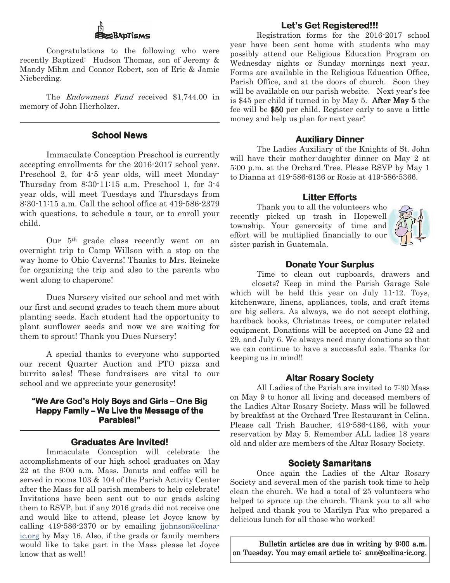# BADTISMS

 Congratulations to the following who were recently Baptized: Hudson Thomas, son of Jeremy & Mandy Mihm and Connor Robert, son of Eric & Jamie Nieberding.

The *Endowment Fund* received \$1,744.00 in memory of John Hierholzer.

# **School News**

 Immaculate Conception Preschool is currently accepting enrollments for the 2016-2017 school year. Preschool 2, for 4-5 year olds, will meet Monday-Thursday from 8:30-11:15 a.m. Preschool 1, for 3-4 year olds, will meet Tuesdays and Thursdays from 8:30-11:15 a.m. Call the school office at 419-586-2379 with questions, to schedule a tour, or to enroll your child.

 Our 5th grade class recently went on an overnight trip to Camp Willson with a stop on the way home to Ohio Caverns! Thanks to Mrs. Reineke for organizing the trip and also to the parents who went along to chaperone!

 Dues Nursery visited our school and met with our first and second grades to teach them more about planting seeds. Each student had the opportunity to plant sunflower seeds and now we are waiting for them to sprout! Thank you Dues Nursery!

 A special thanks to everyone who supported our recent Quarter Auction and PTO pizza and burrito sales! These fundraisers are vital to our school and we appreciate your generosity!

#### **"We Are God's Holy Boys and Girls – "We Holy Boys and Girls –One Big One Big Happy Family – We Live the Message of the Parables!"**

# **Graduates Are Invited! Graduates Are Invited!**

 Immaculate Conception will celebrate the accomplishments of our high school graduates on May 22 at the 9:00 a.m. Mass. Donuts and coffee will be served in rooms 103 & 104 of the Parish Activity Center after the Mass for all parish members to help celebrate! Invitations have been sent out to our grads asking them to RSVP, but if any 2016 grads did not receive one and would like to attend, please let Joyce know by calling 419-586-2370 or by emailing jjohnson@celinaic.org by May 16. Also, if the grads or family members would like to take part in the Mass please let Joyce know that as well!

# Let's Get Registered!!!

 Registration forms for the 2016-2017 school year have been sent home with students who may possibly attend our Religious Education Program on Wednesday nights or Sunday mornings next year. Forms are available in the Religious Education Office, Parish Office, and at the doors of church. Soon they will be available on our parish website. Next year's fee is \$45 per child if turned in by May 5. After May  $5$  the fee will be \$50 per child. Register early to save a little money and help us plan for next year!

#### **Auxiliary Dinner**

 The Ladies Auxiliary of the Knights of St. John will have their mother-daughter dinner on May 2 at 5:00 p.m. at the Orchard Tree. Please RSVP by May 1 to Dianna at 419-586-6136 or Rosie at 419-586-5366.

#### **Litter Efforts**

 Thank you to all the volunteers who recently picked up trash in Hopewell township. Your generosity of time and effort will be multiplied financially to our sister parish in Guatemala.



# **Donate Your Surplus**

 Time to clean out cupboards, drawers and closets? Keep in mind the Parish Garage Sale which will be held this year on July 11-12. Toys, kitchenware, linens, appliances, tools, and craft items are big sellers. As always, we do not accept clothing, hardback books, Christmas trees, or computer related equipment. Donations will be accepted on June 22 and 29, and July 6. We always need many donations so that we can continue to have a successful sale. Thanks for keeping us in mind!!

# **Altar Rosary Society**

 All Ladies of the Parish are invited to 7:30 Mass on May 9 to honor all living and deceased members of the Ladies Altar Rosary Society. Mass will be followed by breakfast at the Orchard Tree Restaurant in Celina. Please call Trish Baucher, 419-586-4186, with your reservation by May 5. Remember ALL ladies 18 years old and older are members of the Altar Rosary Society.

#### **Society Samaritans**

 Once again the Ladies of the Altar Rosary Society and several men of the parish took time to help clean the church. We had a total of 25 volunteers who helped to spruce up the church. Thank you to all who helped and thank you to Marilyn Pax who prepared a delicious lunch for all those who worked!

Bulletin articles are due in writing by  $9:00$  a.m. on Tuesday. You may email article to: ann@celina-ic.org.